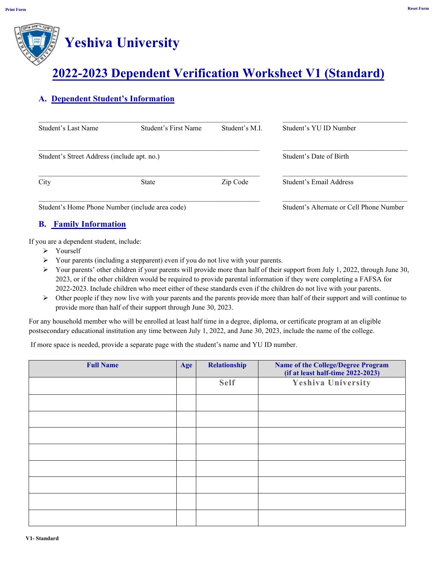# **Yeshiva University**

### **2022-2023 Dependent Verification Worksheet V1 (Standard)**

### **A. Dependent Student's Information**

| Student's Last Name                         | Student's First Name | Student's M.I. | Student's YU ID Number  |
|---------------------------------------------|----------------------|----------------|-------------------------|
| Student's Street Address (include apt. no.) |                      |                | Student's Date of Birth |
| City                                        | <b>State</b>         | Zip Code       | Student's Email Address |

Student's Home Phone Number (include area code) Student's Alternate or Cell Phone Number

#### **B. Family Information**

If you are a dependent student, include:

- > Yourself
- $\triangleright$  Your parents (including a stepparent) even if you do not live with your parents.
- $\triangleright$  Your parents' other children if your parents will provide more than half of their support from July 1, 2022, through June 30, 2023, or if the other children would be required to provide parental information if they were completing a FAFSA for 2022-2023. Include children who meet either of these standards even if the children do not live with your parents.
- $\triangleright$  Other people if they now live with your parents and the parents provide more than half of their support and will continue to provide more than half of their support through June 30, 2023.

For any household member who will be enrolled at least half time in a degree, diploma, or certificate program at an eligible postsecondary educational institution any time between July 1, 2022, and June 30, 2023, include the name of the college.

If more space is needed, provide a separate page with the student's name and YU ID number.

| <b>Full Name</b> | Age | Relationship | <b>Name of the College/Degree Program</b><br>$(if at least half-time 2022-2023)$ |
|------------------|-----|--------------|----------------------------------------------------------------------------------|
|                  |     | <b>Self</b>  | Yeshiva University                                                               |
|                  |     |              |                                                                                  |
|                  |     |              |                                                                                  |
|                  |     |              |                                                                                  |
|                  |     |              |                                                                                  |
|                  |     |              |                                                                                  |
|                  |     |              |                                                                                  |
|                  |     |              |                                                                                  |
|                  |     |              |                                                                                  |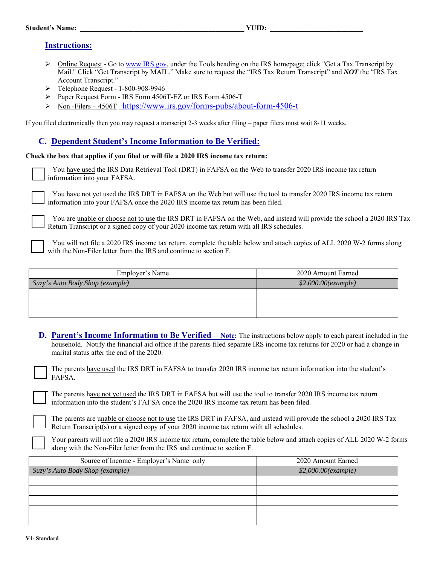#### Student's Name: **WUID:**  $\blacksquare$

#### **Instructions:**

- $\triangleright$  Online Request Go to www.IRS.gov, under the Tools heading on the IRS homepage; click "Get a Tax Transcript by Mail." Click "Get Transcript by MAIL." Make sure to request the "IRS Tax Return Transcript" and *NOT* the "IRS Tax Account Transcript."
- Telephone Request 1-800-908-9946
- Paper Request Form IRS Form 4506T-EZ or IRS Form 4506-T
- Non -Filers 4506T https://www.irs.gov/forms-pubs/about-form-4506-t

If you filed electronically then you may request a transcript 2-3 weeks after filing – paper filers must wait 8-11 weeks.

#### **C. Dependent Student's Income Information to Be Verified:**

**Check the box that applies if you filed or will file a 2020 IRS income tax return:** 

You have used the IRS Data Retrieval Tool (DRT) in FAFSA on the Web to transfer 2020 IRS income tax return information into your FAFSA.

You have not yet used the IRS DRT in FAFSA on the Web but will use the tool to transfer 2020 IRS income tax return information into your FAFSA once the 2020 IRS income tax return has been filed.

You are unable or choose not to use the IRS DRT in FAFSA on the Web, and instead will provide the school a 2020 IRS Tax Return Transcript or a signed copy of your 2020 income tax return with all IRS schedules.

You will not file a 2020 IRS income tax return, complete the table below and attach copies of ALL 2020 W-2 forms along with the Non-Filer letter from the IRS and continue to section F.

| Employer's Name                 | 2020 Amount Earned  |  |
|---------------------------------|---------------------|--|
| Suzy's Auto Body Shop (example) | \$2,000.00(example) |  |
|                                 |                     |  |
|                                 |                     |  |
|                                 |                     |  |

**D.** Parent's Income Information to Be Verified—**Note:** The instructions below apply to each parent included in the household. Notify the financial aid office if the parents filed separate IRS income tax returns for 2020 or had a change in marital status after the end of the 2020.

The parents have used the IRS DRT in FAFSA to transfer 2020 IRS income tax return information into the student's FAFSA*.*

The parents have not yet used the IRS DRT in FAFSA but will use the tool to transfer 2020 IRS income tax return information into the student's FAFSA once the 2020 IRS income tax return has been filed.

The parents are unable or choose not to use the IRS DRT in FAFSA, and instead will provide the school a 2020 IRS Tax Return Transcript(s) or a signed copy of your 2020 income tax return with all schedules.

Your parents will not file a 2020 IRS income tax return, complete the table below and attach copies of ALL 2020 W-2 forms along with the Non-Filer letter from the IRS and continue to section F.

| Source of Income - Employer's Name only | 2020 Amount Earned    |  |
|-----------------------------------------|-----------------------|--|
| Suzy's Auto Body Shop (example)         | $$2,000.00$ (example) |  |
|                                         |                       |  |
|                                         |                       |  |
|                                         |                       |  |
|                                         |                       |  |
|                                         |                       |  |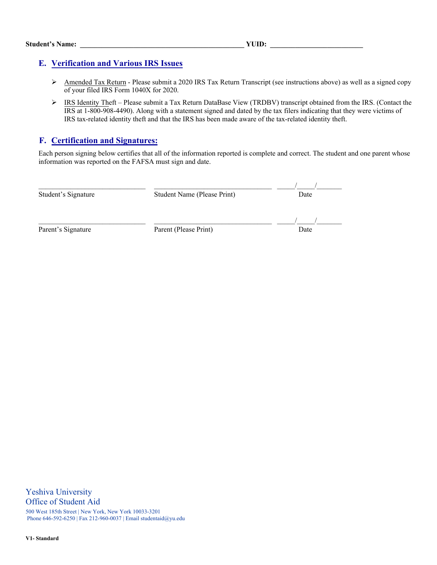#### **E. Verification and Various IRS Issues**

- Amended Tax Return Please submit a 2020 IRS Tax Return Transcript (see instructions above) as well as a signed copy of your filed IRS Form 1040X for 2020.
- IRS Identity Theft Please submit a Tax Return DataBase View (TRDBV) transcript obtained from the IRS. (Contact the IRS at 1-800-908-4490). Along with a statement signed and dated by the tax filers indicating that they were victims of IRS tax-related identity theft and that the IRS has been made aware of the tax-related identity theft.

#### **F. Certification and Signatures:**

Each person signing below certifies that all of the information reported is complete and correct. The student and one parent whose information was reported on the FAFSA must sign and date.

| Student's Signature | Student Name (Please Print) | Date |  |
|---------------------|-----------------------------|------|--|
| Parent's Signature  | Parent (Please Print)       | Date |  |

Yeshiva University Office of Student Aid 500 West 185th Street | New York, New York 10033-3201 Phone 646-592-6250 | Fax 212-960-0037 | Email studentaid@yu.edu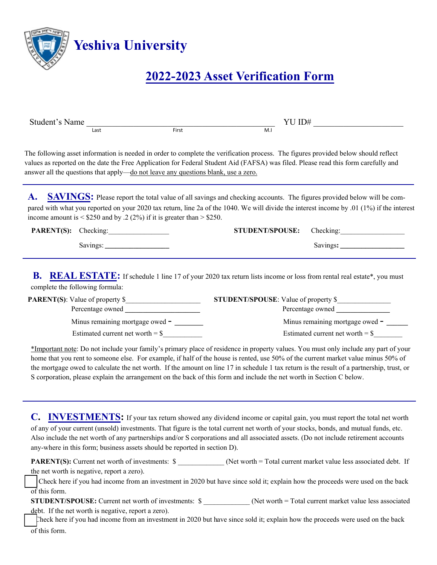

## **2022-2023 Asset Verification Form**

| Student's Name                                                                      |       | YU ID#                                                                                                                                                                                                                                                                                                                                                                                                                                                                                                                                                                                                                                              |
|-------------------------------------------------------------------------------------|-------|-----------------------------------------------------------------------------------------------------------------------------------------------------------------------------------------------------------------------------------------------------------------------------------------------------------------------------------------------------------------------------------------------------------------------------------------------------------------------------------------------------------------------------------------------------------------------------------------------------------------------------------------------------|
| Last                                                                                | First | M.I                                                                                                                                                                                                                                                                                                                                                                                                                                                                                                                                                                                                                                                 |
| answer all the questions that apply—do not leave any questions blank, use a zero.   |       | The following asset information is needed in order to complete the verification process. The figures provided below should reflect<br>values as reported on the date the Free Application for Federal Student Aid (FAFSA) was filed. Please read this form carefully and                                                                                                                                                                                                                                                                                                                                                                            |
| A.<br>income amount is $\leq$ \$250 and by .2 (2%) if it is greater than $>$ \$250. |       | <b>SAVINGS:</b> Please report the total value of all savings and checking accounts. The figures provided below will be com-<br>pared with what you reported on your 2020 tax return, line 2a of the 1040. We will divide the interest income by .01 (1%) if the interest                                                                                                                                                                                                                                                                                                                                                                            |
| PARENT(S): Checking:                                                                |       | <b>STUDENT/SPOUSE:</b><br>Checking:                                                                                                                                                                                                                                                                                                                                                                                                                                                                                                                                                                                                                 |
|                                                                                     |       |                                                                                                                                                                                                                                                                                                                                                                                                                                                                                                                                                                                                                                                     |
| Minus remaining mortgage owed -<br>Estimated current net worth = $\frac{1}{2}$      |       | Percentage owned<br>Minus remaining mortgage owed -<br>Estimated current net worth = $\frac{1}{2}$<br>*Important note: Do not include your family's primary place of residence in property values. You must only include any part of your<br>home that you rent to someone else. For example, if half of the house is rented, use 50% of the current market value minus 50% of<br>the mortgage owed to calculate the net worth. If the amount on line 17 in schedule 1 tax return is the result of a partnership, trust, or<br>S corporation, please explain the arrangement on the back of this form and include the net worth in Section C below. |
| any-where in this form; business assets should be reported in section D).           |       | <b>INVESTMENTS:</b> If your tax return showed any dividend income or capital gain, you must report the total net worth<br>of any of your current (unsold) investments. That figure is the total current net worth of your stocks, bonds, and mutual funds, etc.<br>Also include the net worth of any partnerships and/or S corporations and all associated assets. (Do not include retirement accounts                                                                                                                                                                                                                                              |
|                                                                                     |       | <b>PARENT(S):</b> Current net worth of investments: $\$ (Net worth = Total current market value less associated debt. If                                                                                                                                                                                                                                                                                                                                                                                                                                                                                                                            |
| the net worth is negative, report a zero).<br>$\overline{\text{of}}$ this form.     |       | Check here if you had income from an investment in 2020 but have since sold it; explain how the proceeds were used on the back                                                                                                                                                                                                                                                                                                                                                                                                                                                                                                                      |
| debt. If the net worth is negative, report a zero).                                 |       | STUDENT/SPOUSE: Current net worth of investments: \$ ___________(Net worth = Total current market value less associated                                                                                                                                                                                                                                                                                                                                                                                                                                                                                                                             |

Check here if you had income from an investment in 2020 but have since sold it; explain how the proceeds were used on the back of this form.